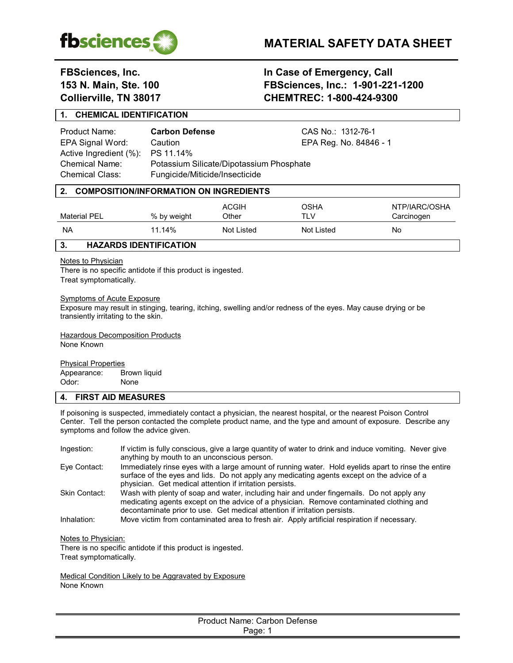

# **FBSciences, Inc. In Case of Emergency, Call 153 N. Main, Ste. 100 FBSciences, Inc.: 1-901-221-1200 Collierville, TN 38017 CHEMTREC: 1-800-424-9300**

## **1. CHEMICAL IDENTIFICATION**

Product Name: **Carbon Defense** CAS No.: 1312-76-1 Active Ingredient (%): PS 11.14%

EPA Signal Word: Caution Caution EPA Reg. No. 84846 - 1 Chemical Name: Potassium Silicate/Dipotassium Phosphate Chemical Class: Fungicide/Miticide/Insecticide

| Material PEL | % by weight | <b>ACGIH</b><br>Other | OSHA<br>TLV | NTP/IARC/OSHA<br>Carcinogen |
|--------------|-------------|-----------------------|-------------|-----------------------------|
| <b>NA</b>    | 11.14%      | Not Listed            | Not Listed  | No                          |

## **3. HAZARDS IDENTIFICATION**

## **Notes to Physician**

There is no specific antidote if this product is ingested. Treat symptomatically.

### Symptoms of Acute Exposure

Exposure may result in stinging, tearing, itching, swelling and/or redness of the eyes. May cause drying or be transiently irritating to the skin.

**Hazardous Decomposition Products** None Known

Physical Properties

Appearance: Brown liquid Odor: None

## **4. FIRST AID MEASURES**

If poisoning is suspected, immediately contact a physician, the nearest hospital, or the nearest Poison Control Center. Tell the person contacted the complete product name, and the type and amount of exposure. Describe any symptoms and follow the advice given.

| Ingestion:    | If victim is fully conscious, give a large quantity of water to drink and induce vomiting. Never give<br>anything by mouth to an unconscious person.                                                                                                               |
|---------------|--------------------------------------------------------------------------------------------------------------------------------------------------------------------------------------------------------------------------------------------------------------------|
| Eve Contact:  | Immediately rinse eyes with a large amount of running water. Hold eyelids apart to rinse the entire<br>surface of the eyes and lids. Do not apply any medicating agents except on the advice of a<br>physician. Get medical attention if irritation persists.      |
| Skin Contact: | Wash with plenty of soap and water, including hair and under fingernails. Do not apply any<br>medicating agents except on the advice of a physician. Remove contaminated clothing and<br>decontaminate prior to use. Get medical attention if irritation persists. |
| Inhalation:   | Move victim from contaminated area to fresh air. Apply artificial respiration if necessary.                                                                                                                                                                        |

Notes to Physician:

There is no specific antidote if this product is ingested. Treat symptomatically.

Medical Condition Likely to be Aggravated by Exposure None Known

| Product Name: Carbon Defense |  |
|------------------------------|--|
| Page: 1                      |  |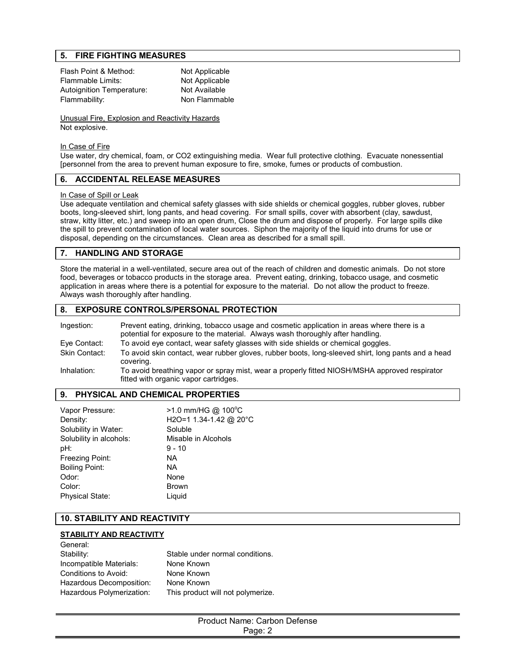## **5. FIRE FIGHTING MEASURES**

| Flash Point & Method:     | Not Applicable |
|---------------------------|----------------|
| Flammable Limits:         | Not Applicable |
| Autoignition Temperature: | Not Available  |
| Flammability:             | Non Flammable  |

Unusual Fire, Explosion and Reactivity Hazards Not explosive.

#### In Case of Fire

Use water, dry chemical, foam, or CO2 extinguishing media. Wear full protective clothing. Evacuate nonessential [personnel from the area to prevent human exposure to fire, smoke, fumes or products of combustion.

## **6. ACCIDENTAL RELEASE MEASURES**

#### In Case of Spill or Leak

Use adequate ventilation and chemical safety glasses with side shields or chemical goggles, rubber gloves, rubber boots, long-sleeved shirt, long pants, and head covering. For small spills, cover with absorbent (clay, sawdust, straw, kitty litter, etc.) and sweep into an open drum, Close the drum and dispose of properly. For large spills dike the spill to prevent contamination of local water sources. Siphon the majority of the liquid into drums for use or disposal, depending on the circumstances. Clean area as described for a small spill.

## **7. HANDLING AND STORAGE**

Store the material in a well-ventilated, secure area out of the reach of children and domestic animals. Do not store food, beverages or tobacco products in the storage area. Prevent eating, drinking, tobacco usage, and cosmetic application in areas where there is a potential for exposure to the material. Do not allow the product to freeze. Always wash thoroughly after handling.

## **8. EXPOSURE CONTROLS/PERSONAL PROTECTION**

| Ingestion:    | Prevent eating, drinking, tobacco usage and cosmetic application in areas where there is a<br>potential for exposure to the material. Always wash thoroughly after handling. |
|---------------|------------------------------------------------------------------------------------------------------------------------------------------------------------------------------|
| Eye Contact:  | To avoid eye contact, wear safety glasses with side shields or chemical goggles.                                                                                             |
| Skin Contact: | To avoid skin contact, wear rubber gloves, rubber boots, long-sleeved shirt, long pants and a head<br>covering.                                                              |
| Inhalation:   | To avoid breathing vapor or spray mist, wear a properly fitted NIOSH/MSHA approved respirator<br>fitted with organic vapor cartridges.                                       |

#### **9. PHYSICAL AND CHEMICAL PROPERTIES**

| Vapor Pressure:         | $>1.0$ mm/HG @ 100°C   |
|-------------------------|------------------------|
| Density:                | H2O=1 1.34-1.42 @ 20°C |
| Solubility in Water:    | Soluble                |
| Solubility in alcohols: | Misable in Alcohols    |
| pH:                     | $9 - 10$               |
| Freezing Point:         | NA.                    |
| <b>Boiling Point:</b>   | NA.                    |
| Odor:                   | None                   |
| Color:                  | <b>Brown</b>           |
| <b>Physical State:</b>  | Liguid                 |
|                         |                        |

## **10. STABILITY AND REACTIVITY**

#### **STABILITY AND REACTIVITY**

| Stable under normal conditions.   |
|-----------------------------------|
| None Known                        |
| None Known                        |
| None Known                        |
| This product will not polymerize. |
|                                   |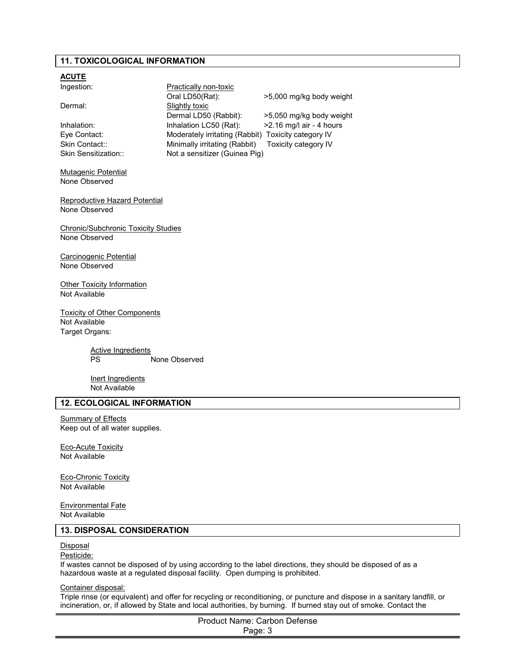## **11. TOXICOLOGICAL INFORMATION**

| <u>ACUTE</u>                                                |                                                     |                          |
|-------------------------------------------------------------|-----------------------------------------------------|--------------------------|
| Ingestion:                                                  | <b>Practically non-toxic</b>                        |                          |
|                                                             | Oral LD50(Rat):                                     | >5,000 mg/kg body weight |
| Dermal:                                                     | Slightly toxic                                      |                          |
|                                                             | Dermal LD50 (Rabbit):                               | >5,050 mg/kg body weight |
| Inhalation:                                                 | Inhalation LC50 (Rat):                              | >2.16 mg/l air - 4 hours |
| Eye Contact:                                                | Moderately irritating (Rabbit) Toxicity category IV |                          |
| Skin Contact::                                              | Minimally irritating (Rabbit)                       | Toxicity category IV     |
| Skin Sensitization::                                        | Not a sensitizer (Guinea Pig)                       |                          |
|                                                             |                                                     |                          |
| Mutagenic Potential                                         |                                                     |                          |
| None Observed                                               |                                                     |                          |
|                                                             |                                                     |                          |
| Reproductive Hazard Potential                               |                                                     |                          |
| None Observed                                               |                                                     |                          |
|                                                             |                                                     |                          |
| <b>Chronic/Subchronic Toxicity Studies</b><br>None Observed |                                                     |                          |
|                                                             |                                                     |                          |
| Carcinogenic Potential                                      |                                                     |                          |
| None Observed                                               |                                                     |                          |
|                                                             |                                                     |                          |
| <b>Other Toxicity Information</b>                           |                                                     |                          |
| Not Available                                               |                                                     |                          |
|                                                             |                                                     |                          |
| <b>Toxicity of Other Components</b>                         |                                                     |                          |
| Not Available                                               |                                                     |                          |
| Target Organs:                                              |                                                     |                          |
|                                                             |                                                     |                          |
| <b>Active Ingredients</b>                                   |                                                     |                          |
| PS                                                          | None Observed                                       |                          |
|                                                             |                                                     |                          |
| Inert Ingredients                                           |                                                     |                          |
| Not Available                                               |                                                     |                          |
| <b>12. ECOLOGICAL INFORMATION</b>                           |                                                     |                          |
| <b>Summary of Effects</b>                                   |                                                     |                          |
| Keep out of all water supplies.                             |                                                     |                          |
|                                                             |                                                     |                          |
| <b>Eco-Acute Toxicity</b>                                   |                                                     |                          |
| Not Available                                               |                                                     |                          |
|                                                             |                                                     |                          |

Eco-Chronic Toxicity Not Available

Environmental Fate Not Available

## **13. DISPOSAL CONSIDERATION**

#### **Disposal**

#### Pesticide:

If wastes cannot be disposed of by using according to the label directions, they should be disposed of as a hazardous waste at a regulated disposal facility. Open dumping is prohibited.

## Container disposal:

Triple rinse (or equivalent) and offer for recycling or reconditioning, or puncture and dispose in a sanitary landfill, or incineration, or, if allowed by State and local authorities, by burning. If burned stay out of smoke. Contact the

> Product Name: Carbon Defense Page: 3